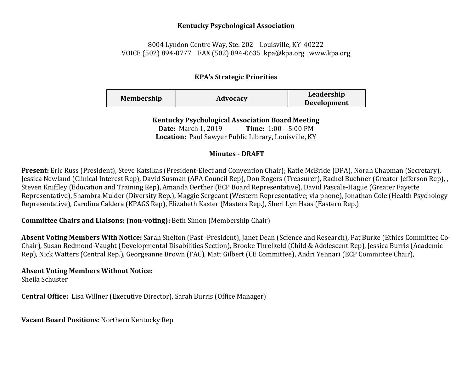### **Kentucky Psychological Association**

# 8004 Lyndon Centre Way, Ste. 202 Louisville, KY 40222 VOICE (502) 894-0777 FAX (502) 894-0635 [kpa@kpa.org](mailto:kpa@kih.net) [www.kpa.org](http://www.kpa.org/)

# **KPA's Strategic Priorities**

| <b>Membership</b> | Advocacy | Leadership         |
|-------------------|----------|--------------------|
|                   |          | <b>Development</b> |

**Kentucky Psychological Association Board Meeting** 

**Date:** March 1, 2019 **Time:** 1:00 – 5:00 PM **Location:** Paul Sawyer Public Library, Louisville, KY

# **Minutes - DRAFT**

**Present:** Eric Russ (President), Steve Katsikas (President-Elect and Convention Chair); Katie McBride (DPA), Norah Chapman (Secretary), Jessica Newland (Clinical Interest Rep), David Susman (APA Council Rep), Don Rogers (Treasurer), Rachel Buehner (Greater Jefferson Rep), , Steven Kniffley (Education and Training Rep), Amanda Oerther (ECP Board Representative), David Pascale-Hague (Greater Fayette Representative), Shambra Mulder (Diversity Rep.), Maggie Sergeant (Western Representative; via phone), Jonathan Cole (Health Psychology Representative), Carolina Caldera (KPAGS Rep), Elizabeth Kaster (Masters Rep.), Sheri Lyn Haas (Eastern Rep.)

**Committee Chairs and Liaisons: (non-voting):** Beth Simon (Membership Chair)

**Absent Voting Members With Notice:** Sarah Shelton (Past -President), Janet Dean (Science and Research), Pat Burke (Ethics Committee Co-Chair), Susan Redmond-Vaught (Developmental Disabilities Section), Brooke Threlkeld (Child & Adolescent Rep), Jessica Burris (Academic Rep), Nick Watters (Central Rep.), Georgeanne Brown (FAC), Matt Gilbert (CE Committee), Andri Yennari (ECP Committee Chair),

# **Absent Voting Members Without Notice:**

Sheila Schuster

**Central Office:** Lisa Willner (Executive Director), Sarah Burris (Office Manager)

**Vacant Board Positions**: Northern Kentucky Rep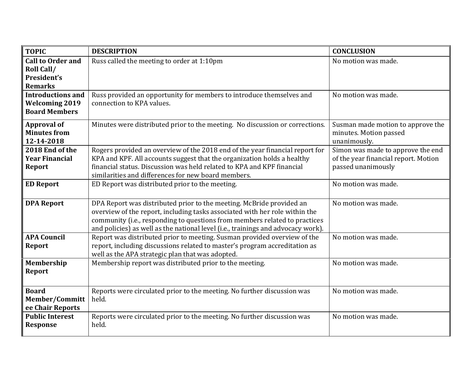| <b>TOPIC</b>                                                              | <b>DESCRIPTION</b>                                                                                                                                                                                                                                                                                                    | <b>CONCLUSION</b>                                                                               |
|---------------------------------------------------------------------------|-----------------------------------------------------------------------------------------------------------------------------------------------------------------------------------------------------------------------------------------------------------------------------------------------------------------------|-------------------------------------------------------------------------------------------------|
| <b>Call to Order and</b><br>Roll Call/<br>President's<br><b>Remarks</b>   | Russ called the meeting to order at 1:10pm                                                                                                                                                                                                                                                                            | No motion was made.                                                                             |
| <b>Introductions and</b><br><b>Welcoming 2019</b><br><b>Board Members</b> | Russ provided an opportunity for members to introduce themselves and<br>connection to KPA values.                                                                                                                                                                                                                     | No motion was made.                                                                             |
| <b>Approval of</b><br><b>Minutes from</b><br>12-14-2018                   | Minutes were distributed prior to the meeting. No discussion or corrections.                                                                                                                                                                                                                                          | Susman made motion to approve the<br>minutes. Motion passed<br>unanimously.                     |
| 2018 End of the<br><b>Year Financial</b><br><b>Report</b>                 | Rogers provided an overview of the 2018 end of the year financial report for<br>KPA and KPF. All accounts suggest that the organization holds a healthy<br>financial status. Discussion was held related to KPA and KPF financial<br>similarities and differences for new board members.                              | Simon was made to approve the end<br>of the year financial report. Motion<br>passed unanimously |
| <b>ED Report</b>                                                          | ED Report was distributed prior to the meeting.                                                                                                                                                                                                                                                                       | No motion was made.                                                                             |
| <b>DPA Report</b>                                                         | DPA Report was distributed prior to the meeting. McBride provided an<br>overview of the report, including tasks associated with her role within the<br>community (i.e., responding to questions from members related to practices<br>and policies) as well as the national level (i.e., trainings and advocacy work). | No motion was made.                                                                             |
| <b>APA Council</b><br><b>Report</b>                                       | Report was distributed prior to meeting. Susman provided overview of the<br>report, including discussions related to master's program accreditation as<br>well as the APA strategic plan that was adopted.                                                                                                            | No motion was made.                                                                             |
| Membership<br><b>Report</b>                                               | Membership report was distributed prior to the meeting.                                                                                                                                                                                                                                                               | No motion was made.                                                                             |
| <b>Board</b><br>Member/Committ<br>ee Chair Reports                        | Reports were circulated prior to the meeting. No further discussion was<br>held.                                                                                                                                                                                                                                      | No motion was made.                                                                             |
| <b>Public Interest</b><br><b>Response</b>                                 | Reports were circulated prior to the meeting. No further discussion was<br>held.                                                                                                                                                                                                                                      | No motion was made.                                                                             |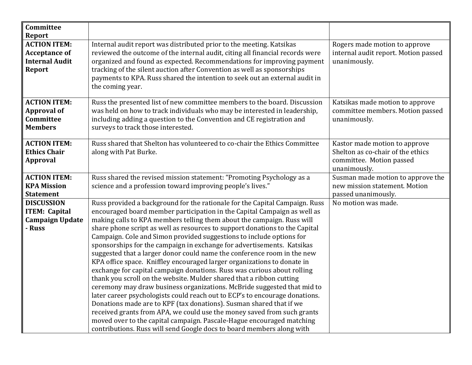| Committee<br><b>Report</b>                                                            |                                                                                                                                                                                                                                                                                                                                                                                                                                                                                                                                                                                                                                                                                                                                                                                                                                                                                                                                                                                                                                                                                                                                                                                                                                           |                                                                                                                |
|---------------------------------------------------------------------------------------|-------------------------------------------------------------------------------------------------------------------------------------------------------------------------------------------------------------------------------------------------------------------------------------------------------------------------------------------------------------------------------------------------------------------------------------------------------------------------------------------------------------------------------------------------------------------------------------------------------------------------------------------------------------------------------------------------------------------------------------------------------------------------------------------------------------------------------------------------------------------------------------------------------------------------------------------------------------------------------------------------------------------------------------------------------------------------------------------------------------------------------------------------------------------------------------------------------------------------------------------|----------------------------------------------------------------------------------------------------------------|
| <b>ACTION ITEM:</b><br><b>Acceptance of</b><br><b>Internal Audit</b><br><b>Report</b> | Internal audit report was distributed prior to the meeting. Katsikas<br>reviewed the outcome of the internal audit, citing all financial records were<br>organized and found as expected. Recommendations for improving payment<br>tracking of the silent auction after Convention as well as sponsorships<br>payments to KPA. Russ shared the intention to seek out an external audit in<br>the coming year.                                                                                                                                                                                                                                                                                                                                                                                                                                                                                                                                                                                                                                                                                                                                                                                                                             | Rogers made motion to approve<br>internal audit report. Motion passed<br>unanimously.                          |
| <b>ACTION ITEM:</b><br><b>Approval of</b><br>Committee<br><b>Members</b>              | Russ the presented list of new committee members to the board. Discussion<br>was held on how to track individuals who may be interested in leadership,<br>including adding a question to the Convention and CE registration and<br>surveys to track those interested.                                                                                                                                                                                                                                                                                                                                                                                                                                                                                                                                                                                                                                                                                                                                                                                                                                                                                                                                                                     | Katsikas made motion to approve<br>committee members. Motion passed<br>unanimously.                            |
| <b>ACTION ITEM:</b><br><b>Ethics Chair</b><br><b>Approval</b>                         | Russ shared that Shelton has volunteered to co-chair the Ethics Committee<br>along with Pat Burke.                                                                                                                                                                                                                                                                                                                                                                                                                                                                                                                                                                                                                                                                                                                                                                                                                                                                                                                                                                                                                                                                                                                                        | Kastor made motion to approve<br>Shelton as co-chair of the ethics<br>committee. Motion passed<br>unanimously. |
| <b>ACTION ITEM:</b><br><b>KPA Mission</b><br><b>Statement</b>                         | Russ shared the revised mission statement: "Promoting Psychology as a<br>science and a profession toward improving people's lives."                                                                                                                                                                                                                                                                                                                                                                                                                                                                                                                                                                                                                                                                                                                                                                                                                                                                                                                                                                                                                                                                                                       | Susman made motion to approve the<br>new mission statement. Motion<br>passed unanimously.                      |
| <b>DISCUSSION</b><br><b>ITEM: Capital</b><br><b>Campaign Update</b><br>- Russ         | Russ provided a background for the rationale for the Capital Campaign. Russ<br>encouraged board member participation in the Capital Campaign as well as<br>making calls to KPA members telling them about the campaign. Russ will<br>share phone script as well as resources to support donations to the Capital<br>Campaign. Cole and Simon provided suggestions to include options for<br>sponsorships for the campaign in exchange for advertisements. Katsikas<br>suggested that a larger donor could name the conference room in the new<br>KPA office space. Kniffley encouraged larger organizations to donate in<br>exchange for capital campaign donations. Russ was curious about rolling<br>thank you scroll on the website. Mulder shared that a ribbon cutting<br>ceremony may draw business organizations. McBride suggested that mid to<br>later career psychologists could reach out to ECP's to encourage donations.<br>Donations made are to KPF (tax donations). Susman shared that if we<br>received grants from APA, we could use the money saved from such grants<br>moved over to the capital campaign. Pascale-Hague encouraged matching<br>contributions. Russ will send Google docs to board members along with | No motion was made.                                                                                            |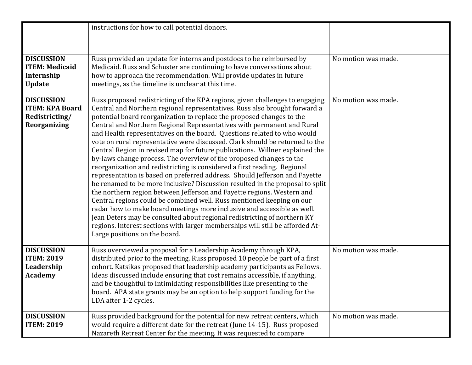|                                                                               | instructions for how to call potential donors.                                                                                                                                                                                                                                                                                                                                                                                                                                                                                                                                                                                                                                                                                                                                                                                                                                                                                                                                                                                                                                                                                                                                                                                                                                                         |                     |
|-------------------------------------------------------------------------------|--------------------------------------------------------------------------------------------------------------------------------------------------------------------------------------------------------------------------------------------------------------------------------------------------------------------------------------------------------------------------------------------------------------------------------------------------------------------------------------------------------------------------------------------------------------------------------------------------------------------------------------------------------------------------------------------------------------------------------------------------------------------------------------------------------------------------------------------------------------------------------------------------------------------------------------------------------------------------------------------------------------------------------------------------------------------------------------------------------------------------------------------------------------------------------------------------------------------------------------------------------------------------------------------------------|---------------------|
| <b>DISCUSSION</b><br><b>ITEM: Medicaid</b><br>Internship<br><b>Update</b>     | Russ provided an update for interns and postdocs to be reimbursed by<br>Medicaid. Russ and Schuster are continuing to have conversations about<br>how to approach the recommendation. Will provide updates in future<br>meetings, as the timeline is unclear at this time.                                                                                                                                                                                                                                                                                                                                                                                                                                                                                                                                                                                                                                                                                                                                                                                                                                                                                                                                                                                                                             | No motion was made. |
| <b>DISCUSSION</b><br><b>ITEM: KPA Board</b><br>Redistricting/<br>Reorganizing | Russ proposed redistricting of the KPA regions, given challenges to engaging<br>Central and Northern regional representatives. Russ also brought forward a<br>potential board reorganization to replace the proposed changes to the<br>Central and Northern Regional Representatives with permanent and Rural<br>and Health representatives on the board. Questions related to who would<br>vote on rural representative were discussed. Clark should be returned to the<br>Central Region in revised map for future publications. Willner explained the<br>by-laws change process. The overview of the proposed changes to the<br>reorganization and redistricting is considered a first reading. Regional<br>representation is based on preferred address. Should Jefferson and Fayette<br>be renamed to be more inclusive? Discussion resulted in the proposal to split<br>the northern region between Jefferson and Fayette regions. Western and<br>Central regions could be combined well. Russ mentioned keeping on our<br>radar how to make board meetings more inclusive and accessible as well.<br>Jean Deters may be consulted about regional redistricting of northern KY<br>regions. Interest sections with larger memberships will still be afforded At-<br>Large positions on the board. | No motion was made. |
| <b>DISCUSSION</b><br><b>ITEM: 2019</b><br>Leadership<br><b>Academy</b>        | Russ overviewed a proposal for a Leadership Academy through KPA,<br>distributed prior to the meeting. Russ proposed 10 people be part of a first<br>cohort. Katsikas proposed that leadership academy participants as Fellows.<br>Ideas discussed include ensuring that cost remains accessible, if anything,<br>and be thoughtful to intimidating responsibilities like presenting to the<br>board. APA state grants may be an option to help support funding for the<br>LDA after 1-2 cycles.                                                                                                                                                                                                                                                                                                                                                                                                                                                                                                                                                                                                                                                                                                                                                                                                        | No motion was made. |
| <b>DISCUSSION</b><br><b>ITEM: 2019</b>                                        | Russ provided background for the potential for new retreat centers, which<br>would require a different date for the retreat (June 14-15). Russ proposed<br>Nazareth Retreat Center for the meeting. It was requested to compare                                                                                                                                                                                                                                                                                                                                                                                                                                                                                                                                                                                                                                                                                                                                                                                                                                                                                                                                                                                                                                                                        | No motion was made. |